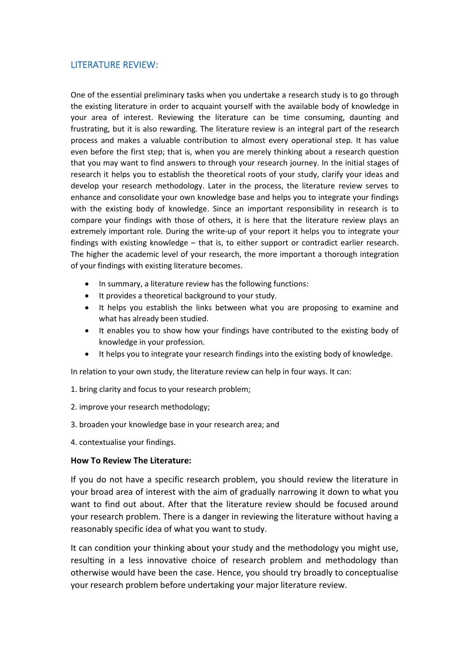## LITERATURE REVIEW:

One of the essential preliminary tasks when you undertake a research study is to go through the existing literature in order to acquaint yourself with the available body of knowledge in your area of interest. Reviewing the literature can be time consuming, daunting and frustrating, but it is also rewarding. The literature review is an integral part of the research process and makes a valuable contribution to almost every operational step. It has value even before the first step; that is, when you are merely thinking about a research question that you may want to find answers to through your research journey. In the initial stages of research it helps you to establish the theoretical roots of your study, clarify your ideas and develop your research methodology. Later in the process, the literature review serves to enhance and consolidate your own knowledge base and helps you to integrate your findings with the existing body of knowledge. Since an important responsibility in research is to compare your findings with those of others, it is here that the literature review plays an extremely important role. During the write-up of your report it helps you to integrate your findings with existing knowledge – that is, to either support or contradict earlier research. The higher the academic level of your research, the more important a thorough integration of your findings with existing literature becomes.

- In summary, a literature review has the following functions:
- It provides a theoretical background to your study.
- It helps you establish the links between what you are proposing to examine and what has already been studied.
- It enables you to show how your findings have contributed to the existing body of knowledge in your profession.
- It helps you to integrate your research findings into the existing body of knowledge.

In relation to your own study, the literature review can help in four ways. It can:

- 1. bring clarity and focus to your research problem;
- 2. improve your research methodology;
- 3. broaden your knowledge base in your research area; and
- 4. contextualise your findings.

## **How To Review The Literature:**

If you do not have a specific research problem, you should review the literature in your broad area of interest with the aim of gradually narrowing it down to what you want to find out about. After that the literature review should be focused around your research problem. There is a danger in reviewing the literature without having a reasonably specific idea of what you want to study.

It can condition your thinking about your study and the methodology you might use, resulting in a less innovative choice of research problem and methodology than otherwise would have been the case. Hence, you should trybroadly to conceptualise your research problem before undertaking your major literature review.